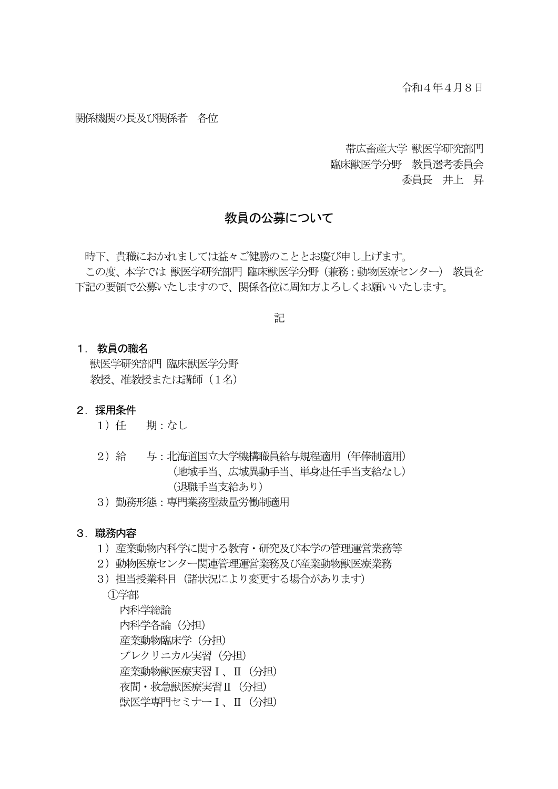#### 関係機関の長及び関係者 各位

帯広畜産大学 獣医学研究部門 臨床獣医学分野 教員選考委員会 委員長 井上 昇

## 教員の公募について

 時下、貴職におかれましては益々ご健勝のこととお慶び申し上げます。 この度、本学では 獣医学研究部門 臨床獣医学分野(兼務:動物医療センター) 教員を 下記の要領で公募いたしますので、関係各位に周知方よろしくお願いいたします。

記

#### 1. 教員の職名

獣医学研究部門 臨床獣医学分野 教授、准教授または講師 (1名)

#### 2. 採用条件

- 1)任 期:なし
- 2)給 与:北海道国立大学機構職員給与規程適用(年俸制適用) (地域手当、広域異動手当、単身赴任手当支給なし) (退職手当支給あり)
- 3)勤務形態:専門業務型裁量労働制適用

#### 3. 職務内容

- 1)産業動物内科学に関する教育・研究及び本学の管理運営業務等
- 2)動物医療センター関連管理運営業務及び産業動物獣医療業務
- 3)担当授業科目(諸状況により変更する場合があります)

①学部

内科学総論 内科学各論(分担) 産業動物臨床学(分担) プレクリニカル実習(分担) 産業動物獣医療実習Ⅰ、Ⅱ(分担) 夜間・救急獣医療実習Ⅱ(分担) 獣医学専門セミナーⅠ、Ⅱ(分担)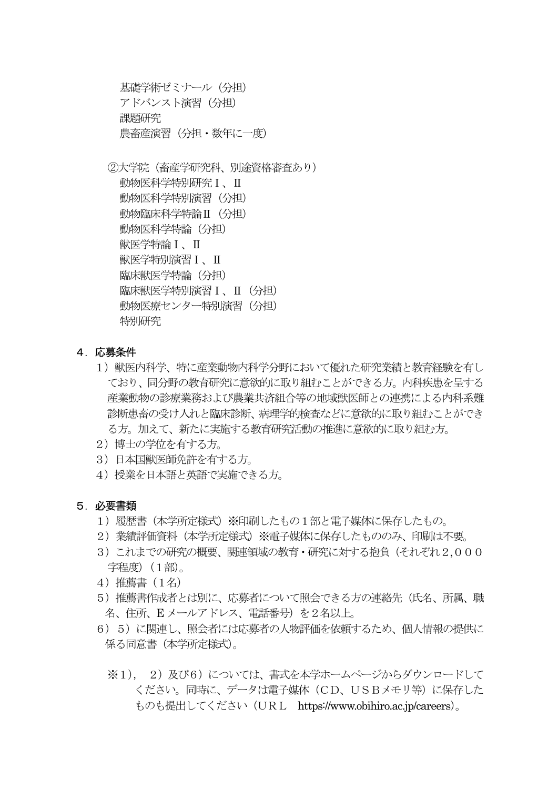基礎学術ゼミナール(分担) アドバンスト演習 (分担) 課題研究 農畜産演習(分担・数年に一度)

②大学院(畜産学研究科、別途資格審査あり) 動物医科学特別研究Ⅰ、Ⅱ 動物医科学特別演習(分担) 動物臨床科学特論Ⅱ(分担) 動物医科学特論(分担) 獣医学特論Ⅰ、Ⅱ 獣医学特別演習Ⅰ、Ⅱ 臨床獣医学特論(分担) 臨床獣医学特別演習Ⅰ、Ⅱ(分担) 動物医療センター特別演習 (分担) 特別研究

- 4.応募条件
	- 1) 獣医内科学、特に産業動物内科学分野において優れた研究業績と教育経験を有し ており、同分野の教育研究に意欲的に取り組むことができる方。内科疾患を呈する 産業動物の診療業務および農業共済組合等の地域獣医師との連携による内科系難 診断患畜の受け入れと臨床診断、病理学的検査などに意欲的に取り組むことができ る方。加えて、新たに実施する教育研究活動の推進に意欲的に取り組む方。
	- 2) 博士の学位を有する方。
	- 3)日本国獣医師免許を有する方。
	- 4)授業を日本語と英語で実施できる方。
- 5.必要書類
	- 1) 履歴書(本学所定様式)※印刷したもの1部と雷子媒体に保存したもの。
	- 2) 業績評価資料(本学所定様式)※電子媒体に保存したもののみ、印刷は不要。
	- 3)これまでの研究の概要、関連領域の教育・研究に対する抱負(それぞれ2,000 字程度)(1部)。
	- 4)推薦書(1名)
	- 5)推薦書作成者とは別に、応募者について照会できる方の連絡先(氏名、所属、職 名、住所、E メールアドレス、電話番号)を2名以上。
	- 6)5)に関連し、照会者には応募者の人物評価を依頼するため、個人情報の提供に 係る同意書(本学所定様式)。
		- ※1). 2)及び6)については、書式を本学ホームページからダウンロードして ください。同時に、データは電子媒体(CD、USBメモリ等)に保存した ものも提出してください(URL https://www.obihiro.ac.jp/careers)。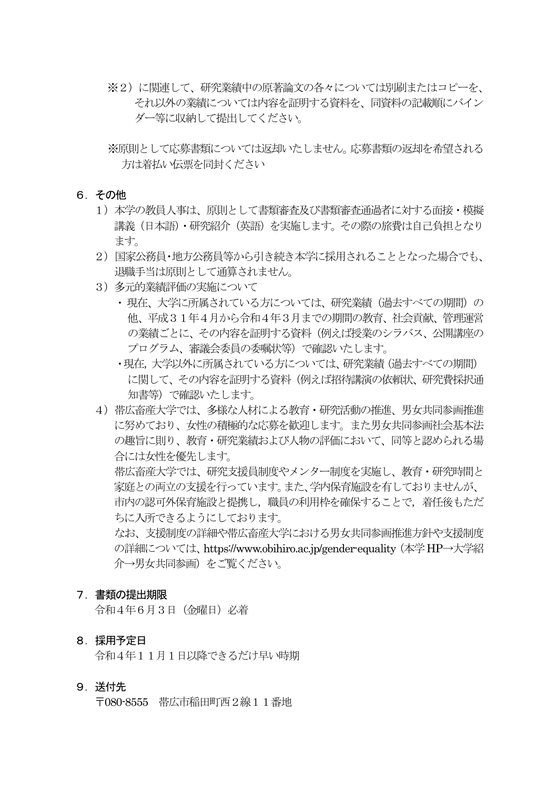- ※2)に関連して、研究業績中の原著論文の各々については別刷またはコピーを、 それ以外の業績については内容を証明する資料を、同資料の記載順にバイン ダー等に収納して提出してください。
- ※原則として応募書類については返却いたしません。応募書類の返却を希望される 方は着払い伝票を同封ください
- 6.その他
	- 1)本学の教員人事は、原則として書類審査及び書類審査通過者に対する面接・模擬 講義(日本語)・研究紹介(英語)を実施します。その際の旅費は自己負担となり ます。
	- 2)国家公務員・地方公務員等から引き続き本学に採用されることとなった場合でも、 退職手当は原則として通算されません。
	- 3)多元的業績評価の実施について
		- ・現在、大学に所属されている方については、研究業績(過去すべての期間)の 他、平成31年4月から令和4年3月までの期間の教育、社会貢献、管理運営 の業績ごとに、その内容を証明する資料(例えば授業のシラバス、公開講座の プログラム、審議会委員の委嘱状等)で確認いたします。
		- ・現在,大学以外に所属されている方については、研究業績(過去すべての期間) に関して、その内容を証明する資料(例えば招待講演の依頼状、研究費採択通 知書等)で確認いたします。
	- 4)帯広畜産大学では、多様な人材による教育・研究活動の推進、男女共同参画推進 に努めており、女性の積極的な応募を歓迎します。また男女共同参画社会基本法 の趣旨に則り、教育・研究業績および人物の評価において、同等と認められる場 合には女性を優先します。 帯広畜産大学では、研究支援員制度やメンター制度を実施し、教育・研究時間と 家庭との両立の支援を行っています。また、学内保育施設を有しておりませんが、 市内の認可外保育施設と提携し,職員の利用枠を確保することで,着任後もただ ちに入所できるようにしております。 なお、支援制度の詳細や帯広畜産大学における男女共同参画推進方針や支援制度

の詳細については、https://www.obihiro.ac.jp/gender-equality(本学HP→大学紹 介→男女共同参画)をご覧ください。

#### 7.書類の提出期限

令和4年6月3日(金曜日)必着

## 8.採用予定日

令和4年11月1日以降できるだけ早い時期

#### 9.送付先

〒080-8555 帯広市稲田町西2線11番地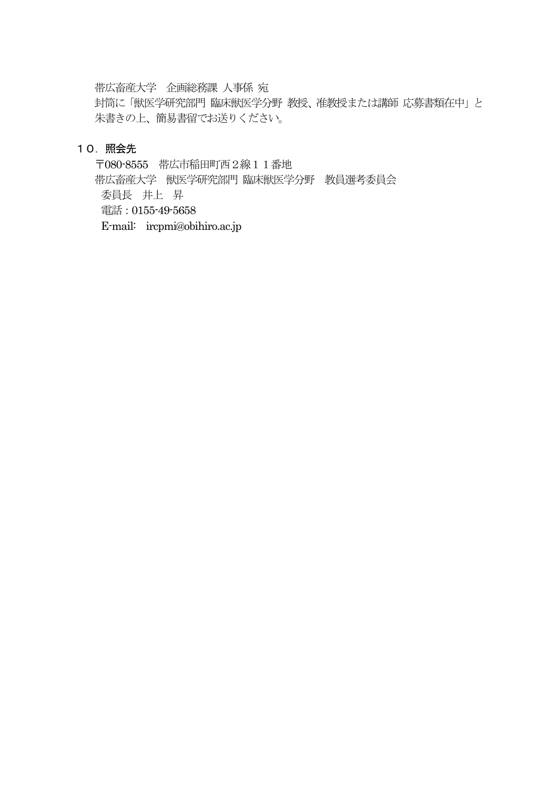帯広畜産大学 企画総務課 人事係 宛

封筒に「獣医学研究部門 臨床獣医学分野 教授、准教授または講師 応募書類在中」と 朱書きの上、簡易書留でお送りください。

### 10.照会先

〒080-8555 帯広市稲田町西2線11番地

帯広畜産大学 獣医学研究部門 臨床獣医学分野 教員選考委員会 委員長 井上 昇 電話:0155-49-5658

E-mail: ircpmi@obihiro.ac.jp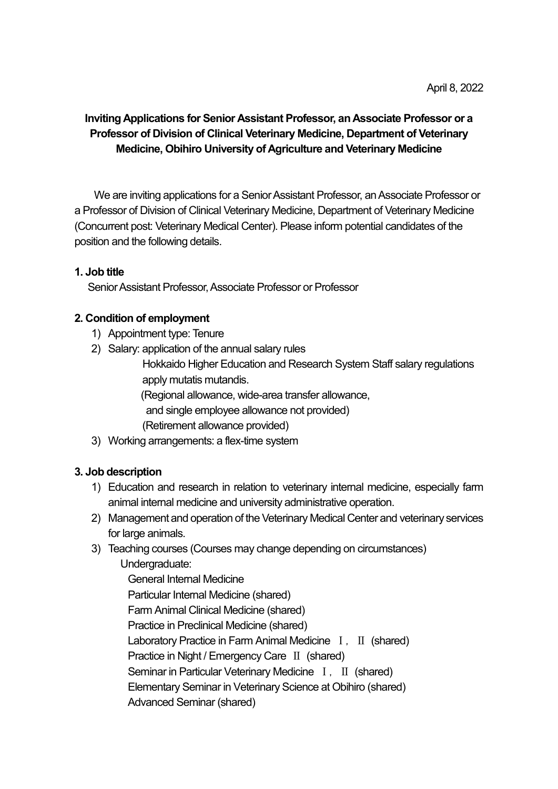# Inviting Applications for Senior Assistant Professor, an Associate Professor or a Professor of Division of Clinical Veterinary Medicine, Department of Veterinary Medicine, Obihiro University of Agriculture and Veterinary Medicine

We are inviting applications for a Senior Assistant Professor, an Associate Professor or a Professor of Division of Clinical Veterinary Medicine, Department of Veterinary Medicine (Concurrent post: Veterinary Medical Center). Please inform potential candidates of the position and the following details.

## 1. Job title

Senior Assistant Professor, Associate Professor or Professor

## 2. Condition of employment

- 1) Appointment type: Tenure
- 2) Salary: application of the annual salary rules

 Hokkaido Higher Education and Research System Staff salary regulations apply mutatis mutandis.

(Regional allowance, wide-area transfer allowance,

- and single employee allowance not provided)
- (Retirement allowance provided)
- 3) Working arrangements: a flex-time system

## 3. Job description

- 1) Education and research in relation to veterinary internal medicine, especially farm animal internal medicine and university administrative operation.
- 2) Management and operation of the Veterinary Medical Center and veterinary services for large animals.
- 3) Teaching courses (Courses may change depending on circumstances) Undergraduate:

General Internal Medicine Particular Internal Medicine (shared) Farm Animal Clinical Medicine (shared) Practice in Preclinical Medicine (shared) Laboratory Practice in Farm Animal Medicine I, II (shared) Practice in Night / Emergency Care Ⅱ (shared) Seminar in Particular Veterinary Medicine I, II (shared) Elementary Seminar in Veterinary Science at Obihiro (shared) Advanced Seminar (shared)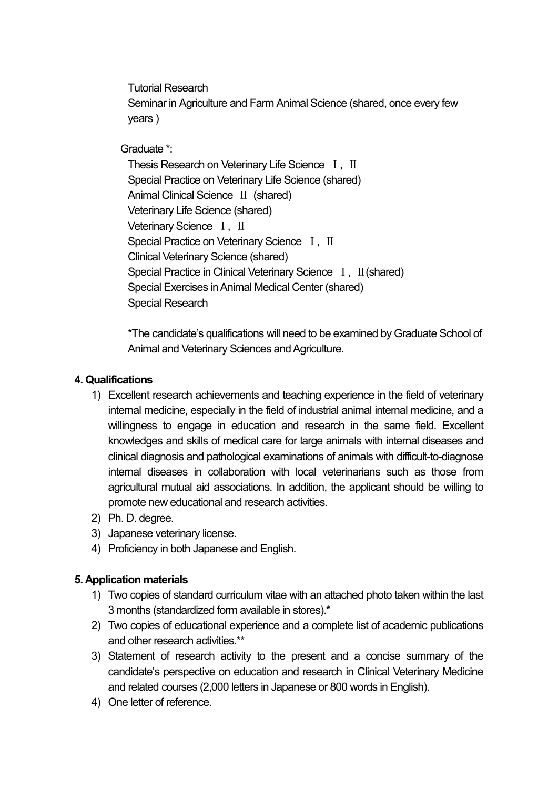Tutorial Research Seminar in Agriculture and Farm Animal Science (shared, once every few years )

Graduate \*:

Thesis Research on Veterinary Life Science I, II Special Practice on Veterinary Life Science (shared) Animal Clinical Science Ⅱ (shared) Veterinary Life Science (shared) Veterinary Science I, II Special Practice on Veterinary Science I, II Clinical Veterinary Science (shared) Special Practice in Clinical Veterinary Science I, II (shared) Special Exercises in Animal Medical Center (shared) Special Research

\*The candidate's qualifications will need to be examined by Graduate School of Animal and Veterinary Sciences and Agriculture.

## 4. Qualifications

- 1) Excellent research achievements and teaching experience in the field of veterinary internal medicine, especially in the field of industrial animal internal medicine, and a willingness to engage in education and research in the same field. Excellent knowledges and skills of medical care for large animals with internal diseases and clinical diagnosis and pathological examinations of animals with difficult-to-diagnose internal diseases in collaboration with local veterinarians such as those from agricultural mutual aid associations. In addition, the applicant should be willing to promote new educational and research activities.
- 2) Ph. D. degree.
- 3) Japanese veterinary license.
- 4) Proficiency in both Japanese and English.

## 5. Application materials

- 1) Two copies of standard curriculum vitae with an attached photo taken within the last 3 months (standardized form available in stores).\*
- 2) Two copies of educational experience and a complete list of academic publications and other research activities.\*\*
- 3) Statement of research activity to the present and a concise summary of the candidate's perspective on education and research in Clinical Veterinary Medicine and related courses (2,000 letters in Japanese or 800 words in English).
- 4) One letter of reference.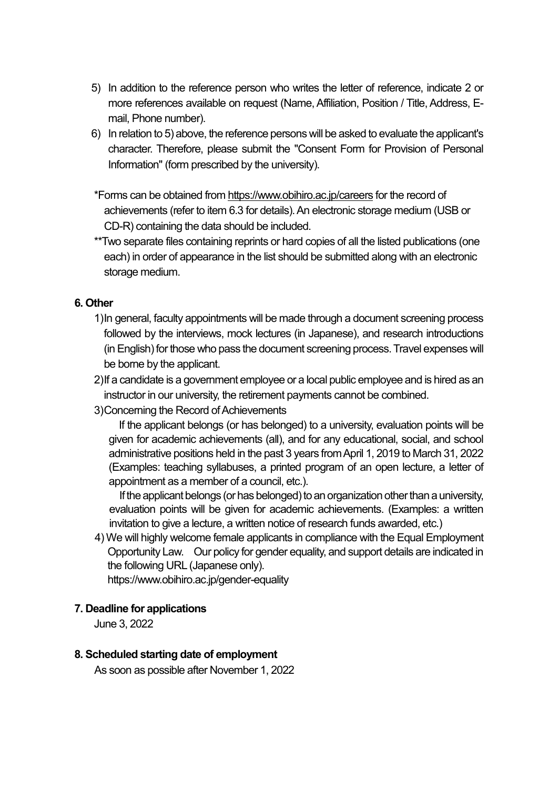- 5) In addition to the reference person who writes the letter of reference, indicate 2 or more references available on request (Name, Affiliation, Position / Title, Address, Email, Phone number).
- 6) In relation to 5) above, the reference persons will be asked to evaluate the applicant's character. Therefore, please submit the "Consent Form for Provision of Personal Information" (form prescribed by the university).
- \*Forms can be obtained from https://www.obihiro.ac.jp/careers for the record of achievements (refer to item 6.3 for details). An electronic storage medium (USB or CD-R) containing the data should be included.
- \*\*Two separate files containing reprints or hard copies of all the listed publications (one each) in order of appearance in the list should be submitted along with an electronic storage medium.

## 6. Other

- 1) In general, faculty appointments will be made through a document screening process followed by the interviews, mock lectures (in Japanese), and research introductions (in English) for those who pass the document screening process. Travel expenses will be borne by the applicant.
- 2) If a candidate is a government employee or a local public employee and is hired as an instructor in our university, the retirement payments cannot be combined.
- 3) Concerning the Record of Achievements

If the applicant belongs (or has belonged) to a university, evaluation points will be given for academic achievements (all), and for any educational, social, and school administrative positions held in the past 3 years from April 1, 2019 to March 31, 2022 (Examples: teaching syllabuses, a printed program of an open lecture, a letter of appointment as a member of a council, etc.).

If the applicant belongs (or has belonged) to an organization other than a university, evaluation points will be given for academic achievements. (Examples: a written invitation to give a lecture, a written notice of research funds awarded, etc.)

4)We will highly welcome female applicants in compliance with the Equal Employment Opportunity Law. Our policy for gender equality, and support details are indicated in the following URL (Japanese only).

https://www.obihiro.ac.jp/gender-equality

## 7. Deadline for applications

June 3, 2022

## 8. Scheduled starting date of employment

As soon as possible after November 1, 2022